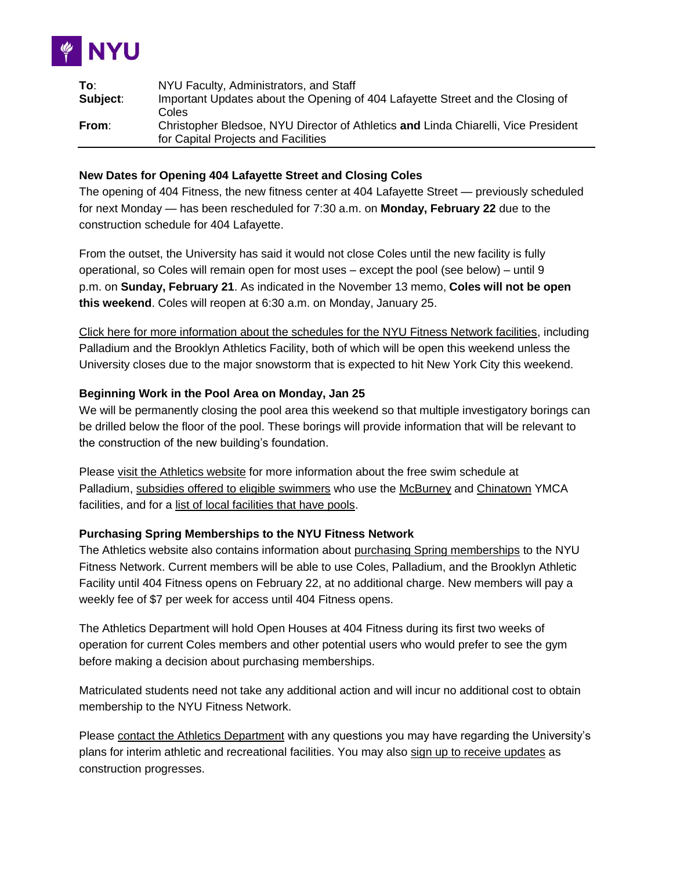

| To:      | NYU Faculty, Administrators, and Staff                                             |
|----------|------------------------------------------------------------------------------------|
| Subject: | Important Updates about the Opening of 404 Lafayette Street and the Closing of     |
|          | Coles                                                                              |
| From:    | Christopher Bledsoe, NYU Director of Athletics and Linda Chiarelli, Vice President |
|          | for Capital Projects and Facilities                                                |

### **New Dates for Opening 404 Lafayette Street and Closing Coles**

The opening of 404 Fitness, the new fitness center at 404 Lafayette Street — previously scheduled for next Monday — has been rescheduled for 7:30 a.m. on **Monday, February 22** due to the construction schedule for 404 Lafayette.

From the outset, the University has said it would not close Coles until the new facility is fully operational, so Coles will remain open for most uses – except the pool (see below) – until 9 p.m. on **Sunday, February 21**. As indicated in the November 13 memo, **Coles will not be open this weekend**. Coles will reopen at 6:30 a.m. on Monday, January 25.

[Click here for more information about the schedules for the NYU Fitness Network facilities,](http://www.gonyuathletics.com/) including Palladium and the Brooklyn Athletics Facility, both of which will be open this weekend unless the University closes due to the major snowstorm that is expected to hit New York City this weekend.

### **Beginning Work in the Pool Area on Monday, Jan 25**

We will be permanently closing the pool area this weekend so that multiple investigatory borings can be drilled below the floor of the pool. These borings will provide information that will be relevant to the construction of the new building's foundation.

Please [visit the Athletics website](http://www.gonyuathletics.com/) for more information about the free swim schedule at Palladium, [subsidies offered to eligible swimmers](http://gonyuathletics.com/sports/2015/5/8/GEN_0508152204.aspx?id=1551) who use the [McBurney](http://www.ymcanyc.org/mcburney) and [Chinatown](http://www.ymcanyc.org/chinatown) YMCA facilities, and for a [list of local facilities that have pools.](http://gonyuathletics.com/sports/2015/5/8/GEN_0508153157.aspx?id=1545)

# **Purchasing Spring Memberships to the NYU Fitness Network**

The Athletics website also contains information about [purchasing Spring memberships](http://www.gonyuathletics.com/sports/2015/3/17/Fac_0317151751.aspx) to the NYU Fitness Network. Current members will be able to use Coles, Palladium, and the Brooklyn Athletic Facility until 404 Fitness opens on February 22, at no additional charge. New members will pay a weekly fee of \$7 per week for access until 404 Fitness opens.

The Athletics Department will hold Open Houses at 404 Fitness during its first two weeks of operation for current Coles members and other potential users who would prefer to see the gym before making a decision about purchasing memberships.

Matriculated students need not take any additional action and will incur no additional cost to obtain membership to the NYU Fitness Network.

Please [contact the Athletics Department](https://docs.google.com/a/nyu.edu/forms/d/1ouK8OSb4yFky_6P70pb8aQylf-7MJogsXZbVYRESqpA/viewform) with any questions you may have regarding the University's plans for interim athletic and recreational facilities. You may also [sign up to receive updates](http://nyu.us5.list-manage1.com/subscribe?u=c4dfb145bad48dea7d2e8f0bf&id=a387690031) as construction progresses.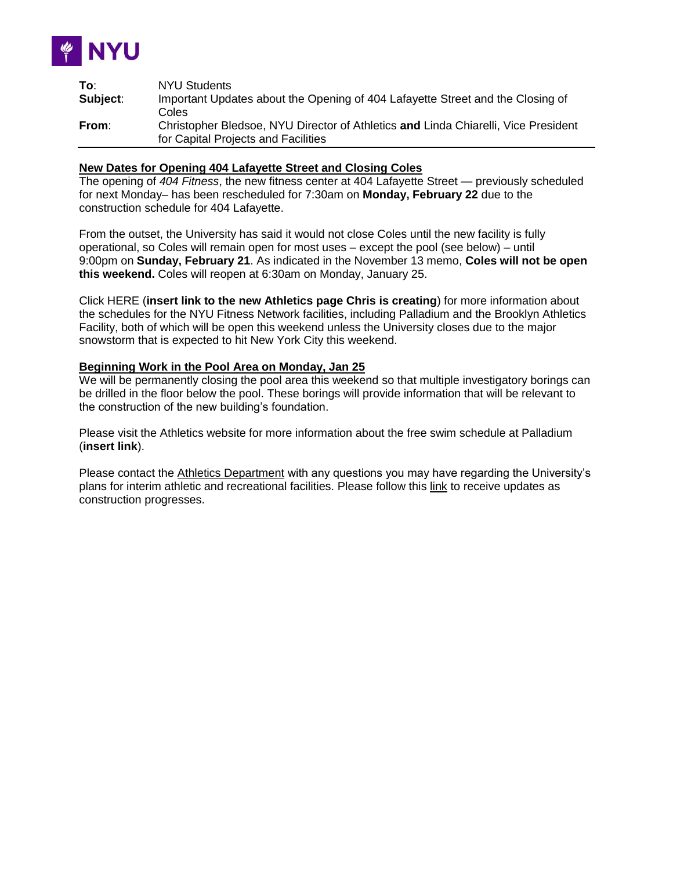

| To:      | <b>NYU Students</b>                                                                |
|----------|------------------------------------------------------------------------------------|
| Subject: | Important Updates about the Opening of 404 Lafayette Street and the Closing of     |
|          | Coles                                                                              |
| From:    | Christopher Bledsoe, NYU Director of Athletics and Linda Chiarelli, Vice President |
|          | for Capital Projects and Facilities                                                |

#### **New Dates for Opening 404 Lafayette Street and Closing Coles**

The opening of *404 Fitness*, the new fitness center at 404 Lafayette Street — previously scheduled for next Monday– has been rescheduled for 7:30am on **Monday, February 22** due to the construction schedule for 404 Lafayette.

From the outset, the University has said it would not close Coles until the new facility is fully operational, so Coles will remain open for most uses – except the pool (see below) – until 9:00pm on **Sunday, February 21**. As indicated in the November 13 memo, **Coles will not be open this weekend.** Coles will reopen at 6:30am on Monday, January 25.

Click HERE (**insert link to the new Athletics page Chris is creating**) for more information about the schedules for the NYU Fitness Network facilities, including Palladium and the Brooklyn Athletics Facility, both of which will be open this weekend unless the University closes due to the major snowstorm that is expected to hit New York City this weekend.

#### **Beginning Work in the Pool Area on Monday, Jan 25**

We will be permanently closing the pool area this weekend so that multiple investigatory borings can be drilled in the floor below the pool. These borings will provide information that will be relevant to the construction of the new building's foundation.

Please visit the Athletics website for more information about the free swim schedule at Palladium (**insert link**).

Please contact the [Athletics Department](https://docs.google.com/forms/d/1ouK8OSb4yFky_6P70pb8aQylf-7MJogsXZbVYRESqpA/viewform) with any questions you may have regarding the University's plans for interim athletic and recreational facilities. Please follow this [link](http://eepurl.com/3ktxX) to receive updates as construction progresses.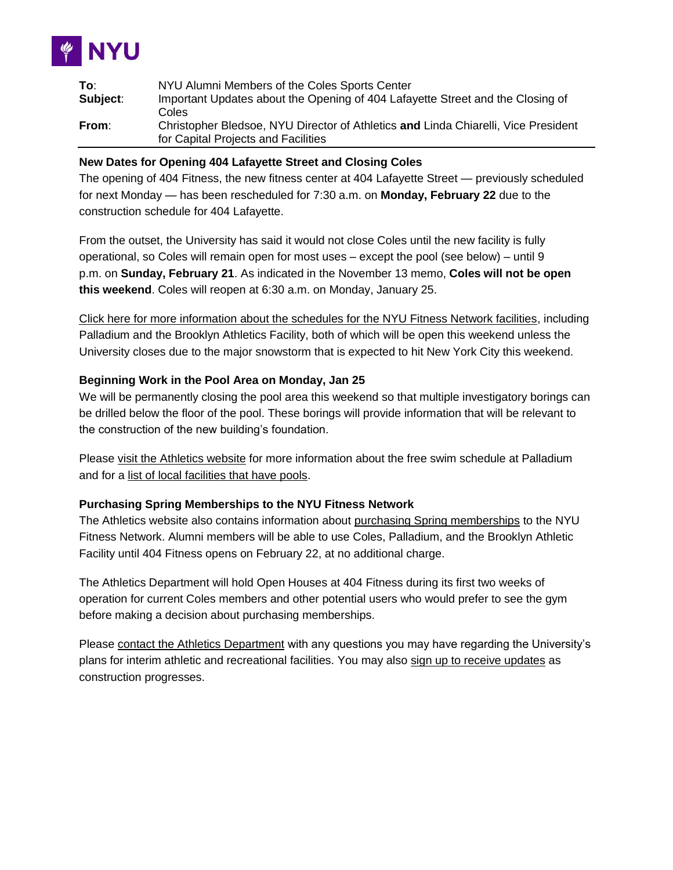

| To:      | NYU Alumni Members of the Coles Sports Center                                      |
|----------|------------------------------------------------------------------------------------|
| Subject: | Important Updates about the Opening of 404 Lafayette Street and the Closing of     |
|          | Coles                                                                              |
| From:    | Christopher Bledsoe, NYU Director of Athletics and Linda Chiarelli, Vice President |
|          | for Capital Projects and Facilities                                                |

## **New Dates for Opening 404 Lafayette Street and Closing Coles**

The opening of 404 Fitness, the new fitness center at 404 Lafayette Street — previously scheduled for next Monday — has been rescheduled for 7:30 a.m. on **Monday, February 22** due to the construction schedule for 404 Lafayette.

From the outset, the University has said it would not close Coles until the new facility is fully operational, so Coles will remain open for most uses – except the pool (see below) – until 9 p.m. on **Sunday, February 21**. As indicated in the November 13 memo, **Coles will not be open this weekend**. Coles will reopen at 6:30 a.m. on Monday, January 25.

[Click here for more information about the schedules for the NYU Fitness Network facilities,](http://www.gonyuathletics.com/) including Palladium and the Brooklyn Athletics Facility, both of which will be open this weekend unless the University closes due to the major snowstorm that is expected to hit New York City this weekend.

### **Beginning Work in the Pool Area on Monday, Jan 25**

We will be permanently closing the pool area this weekend so that multiple investigatory borings can be drilled below the floor of the pool. These borings will provide information that will be relevant to the construction of the new building's foundation.

Please [visit the Athletics website](http://www.gonyuathletics.com/) for more information about the free swim schedule at Palladium and for a [list of local facilities that have pools.](http://gonyuathletics.com/sports/2015/5/8/GEN_0508153157.aspx?id=1545)

#### **Purchasing Spring Memberships to the NYU Fitness Network**

The Athletics website also contains information about [purchasing Spring memberships](http://www.gonyuathletics.com/sports/2015/3/17/Fac_0317151751.aspx) to the NYU Fitness Network. Alumni members will be able to use Coles, Palladium, and the Brooklyn Athletic Facility until 404 Fitness opens on February 22, at no additional charge.

The Athletics Department will hold Open Houses at 404 Fitness during its first two weeks of operation for current Coles members and other potential users who would prefer to see the gym before making a decision about purchasing memberships.

Please [contact the Athletics Department](https://docs.google.com/a/nyu.edu/forms/d/1ouK8OSb4yFky_6P70pb8aQylf-7MJogsXZbVYRESqpA/viewform) with any questions you may have regarding the University's plans for interim athletic and recreational facilities. You may also [sign up to receive updates](http://nyu.us5.list-manage1.com/subscribe?u=c4dfb145bad48dea7d2e8f0bf&id=a387690031) as construction progresses.